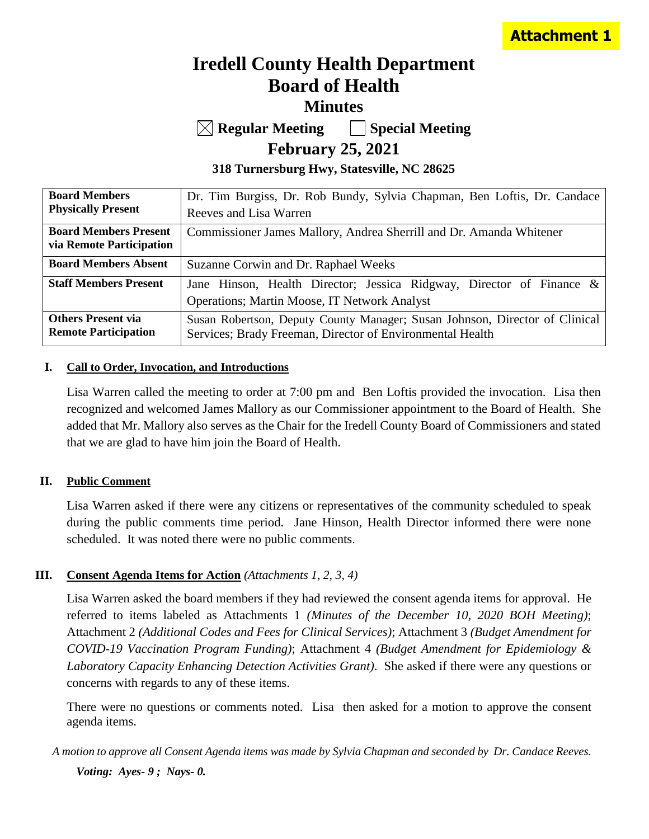# **Iredell County Health Department Board of Health Minutes**

**Regular Meeting Special Meeting**

**February 25, 2021**

**318 Turnersburg Hwy, Statesville, NC 28625**

| <b>Board Members</b>                                     | Dr. Tim Burgiss, Dr. Rob Bundy, Sylvia Chapman, Ben Loftis, Dr. Candace                                                                  |
|----------------------------------------------------------|------------------------------------------------------------------------------------------------------------------------------------------|
| <b>Physically Present</b>                                | Reeves and Lisa Warren                                                                                                                   |
| <b>Board Members Present</b><br>via Remote Participation | Commissioner James Mallory, Andrea Sherrill and Dr. Amanda Whitener                                                                      |
| <b>Board Members Absent</b>                              | Suzanne Corwin and Dr. Raphael Weeks                                                                                                     |
| <b>Staff Members Present</b>                             | Jane Hinson, Health Director; Jessica Ridgway, Director of Finance &<br>Operations; Martin Moose, IT Network Analyst                     |
| <b>Others Present via</b><br><b>Remote Participation</b> | Susan Robertson, Deputy County Manager; Susan Johnson, Director of Clinical<br>Services; Brady Freeman, Director of Environmental Health |

## **I. Call to Order, Invocation, and Introductions**

Lisa Warren called the meeting to order at 7:00 pm and Ben Loftis provided the invocation. Lisa then recognized and welcomed James Mallory as our Commissioner appointment to the Board of Health. She added that Mr. Mallory also serves as the Chair for the Iredell County Board of Commissioners and stated that we are glad to have him join the Board of Health.

## **II. Public Comment**

Lisa Warren asked if there were any citizens or representatives of the community scheduled to speak during the public comments time period. Jane Hinson, Health Director informed there were none scheduled. It was noted there were no public comments.

# **III. Consent Agenda Items for Action** *(Attachments 1, 2, 3, 4)*

Lisa Warren asked the board members if they had reviewed the consent agenda items for approval. He referred to items labeled as Attachments 1 *(Minutes of the December 10, 2020 BOH Meeting)*; Attachment 2 *(Additional Codes and Fees for Clinical Services)*; Attachment 3 *(Budget Amendment for COVID-19 Vaccination Program Funding)*; Attachment 4 *(Budget Amendment for Epidemiology & Laboratory Capacity Enhancing Detection Activities Grant)*. She asked if there were any questions or concerns with regards to any of these items.

There were no questions or comments noted. Lisa then asked for a motion to approve the consent agenda items.

*A motion to approve all Consent Agenda items was made by Sylvia Chapman and seconded by Dr. Candace Reeves. Voting: Ayes- 9 ; Nays- 0.*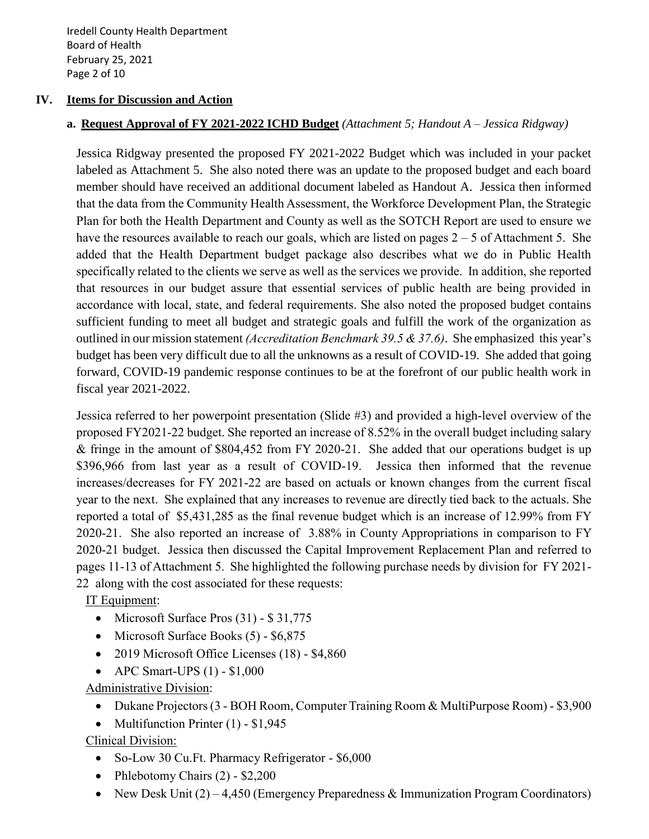Iredell County Health Department Board of Health February 25, 2021 Page 2 of 10

## **IV. Items for Discussion and Action**

## **a. Request Approval of FY 2021-2022 ICHD Budget** *(Attachment 5; Handout A – Jessica Ridgway)*

Jessica Ridgway presented the proposed FY 2021-2022 Budget which was included in your packet labeled as Attachment 5. She also noted there was an update to the proposed budget and each board member should have received an additional document labeled as Handout A. Jessica then informed that the data from the Community Health Assessment, the Workforce Development Plan, the Strategic Plan for both the Health Department and County as well as the SOTCH Report are used to ensure we have the resources available to reach our goals, which are listed on pages  $2 - 5$  of Attachment 5. She added that the Health Department budget package also describes what we do in Public Health specifically related to the clients we serve as well as the services we provide. In addition, she reported that resources in our budget assure that essential services of public health are being provided in accordance with local, state, and federal requirements. She also noted the proposed budget contains sufficient funding to meet all budget and strategic goals and fulfill the work of the organization as outlined in our mission statement *(Accreditation Benchmark 39.5 & 37.6)*. She emphasized this year's budget has been very difficult due to all the unknowns as a result of COVID-19. She added that going forward, COVID-19 pandemic response continues to be at the forefront of our public health work in fiscal year 2021-2022.

Jessica referred to her powerpoint presentation (Slide #3) and provided a high-level overview of the proposed FY2021-22 budget. She reported an increase of 8.52% in the overall budget including salary & fringe in the amount of \$804,452 from FY 2020-21. She added that our operations budget is up \$396,966 from last year as a result of COVID-19. Jessica then informed that the revenue increases/decreases for FY 2021-22 are based on actuals or known changes from the current fiscal year to the next. She explained that any increases to revenue are directly tied back to the actuals. She reported a total of \$5,431,285 as the final revenue budget which is an increase of 12.99% from FY 2020-21. She also reported an increase of 3.88% in County Appropriations in comparison to FY 2020-21 budget. Jessica then discussed the Capital Improvement Replacement Plan and referred to pages 11-13 of Attachment 5. She highlighted the following purchase needs by division for FY 2021- 22 along with the cost associated for these requests:

IT Equipment:

- Microsoft Surface Pros (31) \$ 31,775
- Microsoft Surface Books (5) \$6,875
- 2019 Microsoft Office Licenses (18) \$4,860
- APC Smart-UPS  $(1)$  \$1,000

Administrative Division:

- Dukane Projectors (3 BOH Room, Computer Training Room & MultiPurpose Room) \$3,900
- Multifunction Printer (1) \$1,945

Clinical Division:

- So-Low 30 Cu. Ft. Pharmacy Refrigerator \$6,000
- Phlebotomy Chairs (2) \$2,200
- New Desk Unit  $(2) 4,450$  (Emergency Preparedness & Immunization Program Coordinators)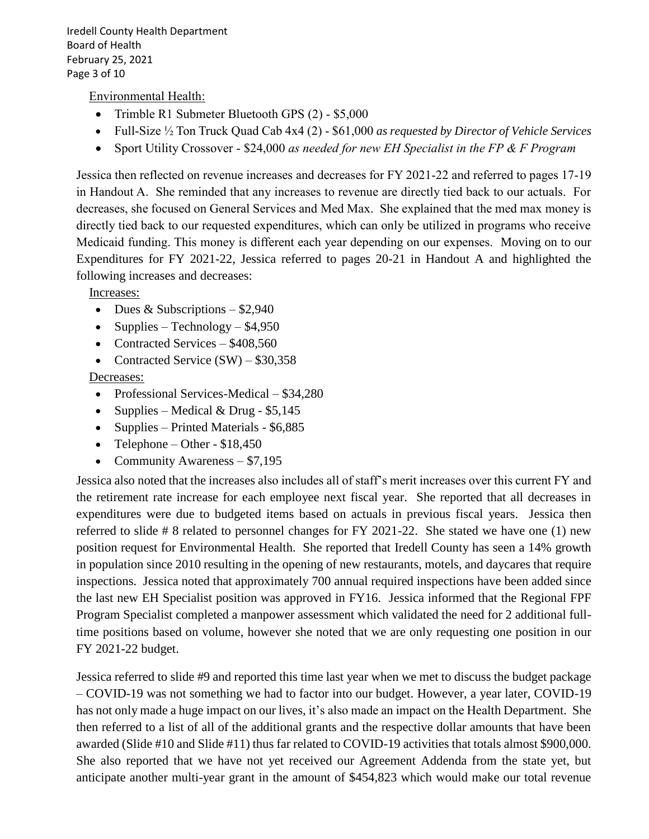Iredell County Health Department Board of Health February 25, 2021 Page 3 of 10

Environmental Health:

- Trimble R1 Submeter Bluetooth GPS (2) \$5,000
- Full-Size ½ Ton Truck Quad Cab 4x4 (2) \$61,000 *as requested by Director of Vehicle Services*
- Sport Utility Crossover \$24,000 *as needed for new EH Specialist in the FP & F Program*

Jessica then reflected on revenue increases and decreases for FY 2021-22 and referred to pages 17-19 in Handout A. She reminded that any increases to revenue are directly tied back to our actuals. For decreases, she focused on General Services and Med Max. She explained that the med max money is directly tied back to our requested expenditures, which can only be utilized in programs who receive Medicaid funding. This money is different each year depending on our expenses. Moving on to our Expenditures for FY 2021-22, Jessica referred to pages 20-21 in Handout A and highlighted the following increases and decreases:

Increases:

- Dues & Subscriptions  $-$  \$2,940
- Supplies Technology  $$4,950$
- Contracted Services \$408,560
- Contracted Service  $(SW) $30,358$

Decreases:

- Professional Services-Medical \$34,280
- Supplies Medical & Drug \$5,145
- Supplies Printed Materials \$6,885
- Telephone Other  $$18,450$
- Community Awareness \$7,195

Jessica also noted that the increases also includes all of staff's merit increases over this current FY and the retirement rate increase for each employee next fiscal year. She reported that all decreases in expenditures were due to budgeted items based on actuals in previous fiscal years. Jessica then referred to slide # 8 related to personnel changes for FY 2021-22. She stated we have one (1) new position request for Environmental Health. She reported that Iredell County has seen a 14% growth in population since 2010 resulting in the opening of new restaurants, motels, and daycares that require inspections. Jessica noted that approximately 700 annual required inspections have been added since the last new EH Specialist position was approved in FY16. Jessica informed that the Regional FPF Program Specialist completed a manpower assessment which validated the need for 2 additional fulltime positions based on volume, however she noted that we are only requesting one position in our FY 2021-22 budget.

Jessica referred to slide #9 and reported this time last year when we met to discuss the budget package – COVID-19 was not something we had to factor into our budget. However, a year later, COVID-19 has not only made a huge impact on our lives, it's also made an impact on the Health Department. She then referred to a list of all of the additional grants and the respective dollar amounts that have been awarded (Slide #10 and Slide #11) thus far related to COVID-19 activities that totals almost \$900,000. She also reported that we have not yet received our Agreement Addenda from the state yet, but anticipate another multi-year grant in the amount of \$454,823 which would make our total revenue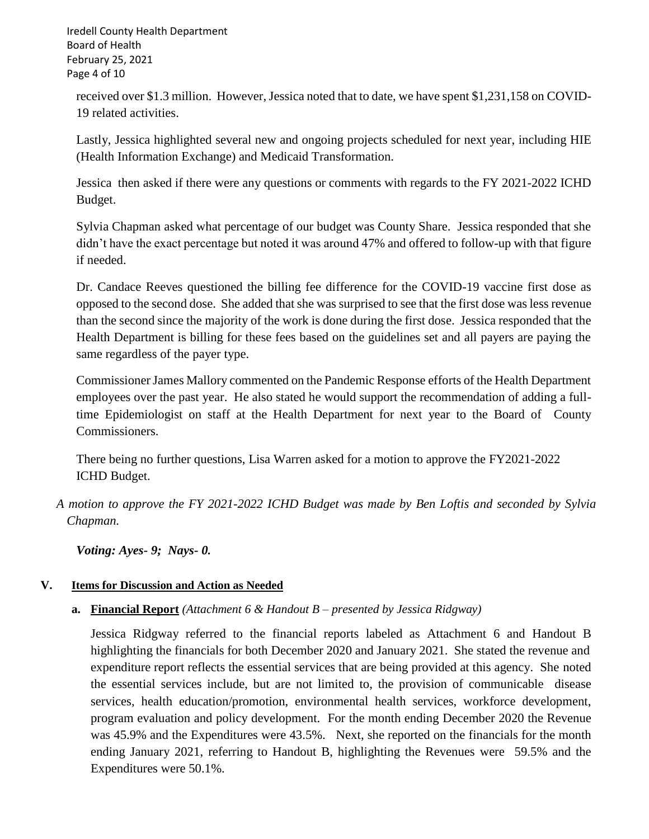Iredell County Health Department Board of Health February 25, 2021 Page 4 of 10

received over \$1.3 million. However, Jessica noted that to date, we have spent \$1,231,158 on COVID-19 related activities.

Lastly, Jessica highlighted several new and ongoing projects scheduled for next year, including HIE (Health Information Exchange) and Medicaid Transformation.

Jessica then asked if there were any questions or comments with regards to the FY 2021-2022 ICHD Budget.

Sylvia Chapman asked what percentage of our budget was County Share. Jessica responded that she didn't have the exact percentage but noted it was around 47% and offered to follow-up with that figure if needed.

Dr. Candace Reeves questioned the billing fee difference for the COVID-19 vaccine first dose as opposed to the second dose. She added that she was surprised to see that the first dose was less revenue than the second since the majority of the work is done during the first dose. Jessica responded that the Health Department is billing for these fees based on the guidelines set and all payers are paying the same regardless of the payer type.

Commissioner James Mallory commented on the Pandemic Response efforts of the Health Department employees over the past year. He also stated he would support the recommendation of adding a fulltime Epidemiologist on staff at the Health Department for next year to the Board of County Commissioners.

There being no further questions, Lisa Warren asked for a motion to approve the FY2021-2022 ICHD Budget.

 *A motion to approve the FY 2021-2022 ICHD Budget was made by Ben Loftis and seconded by Sylvia Chapman.*

*Voting: Ayes- 9; Nays- 0.* 

# **V. Items for Discussion and Action as Needed**

**a. Financial Report** *(Attachment 6 & Handout B – presented by Jessica Ridgway)*

Jessica Ridgway referred to the financial reports labeled as Attachment 6 and Handout B highlighting the financials for both December 2020 and January 2021. She stated the revenue and expenditure report reflects the essential services that are being provided at this agency. She noted the essential services include, but are not limited to, the provision of communicable disease services, health education/promotion, environmental health services, workforce development, program evaluation and policy development. For the month ending December 2020 the Revenue was 45.9% and the Expenditures were 43.5%. Next, she reported on the financials for the month ending January 2021, referring to Handout B, highlighting the Revenues were 59.5% and the Expenditures were 50.1%.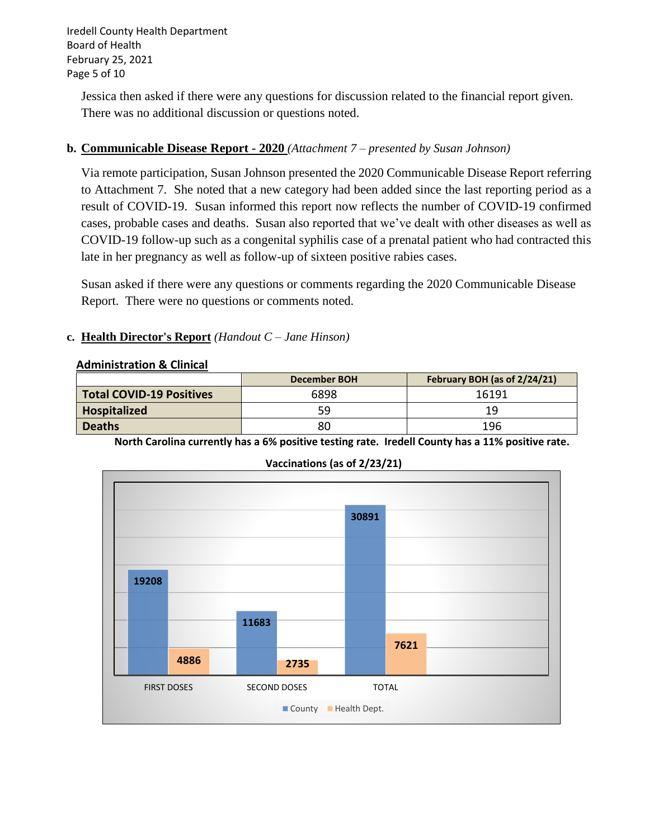Iredell County Health Department Board of Health February 25, 2021 Page 5 of 10

Jessica then asked if there were any questions for discussion related to the financial report given. There was no additional discussion or questions noted.

# **b. Communicable Disease Report - 2020** *(Attachment 7 – presented by Susan Johnson)*

Via remote participation, Susan Johnson presented the 2020 Communicable Disease Report referring to Attachment 7. She noted that a new category had been added since the last reporting period as a result of COVID-19. Susan informed this report now reflects the number of COVID-19 confirmed cases, probable cases and deaths. Susan also reported that we've dealt with other diseases as well as COVID-19 follow-up such as a congenital syphilis case of a prenatal patient who had contracted this late in her pregnancy as well as follow-up of sixteen positive rabies cases.

Susan asked if there were any questions or comments regarding the 2020 Communicable Disease Report. There were no questions or comments noted.

## **c. Health Director's Report** *(Handout C – Jane Hinson)*

#### **Administration & Clinical**

|                                 | December BOH | February BOH (as of 2/24/21) |
|---------------------------------|--------------|------------------------------|
| <b>Total COVID-19 Positives</b> | 6898         | 16191                        |
| Hospitalized                    | 59           | 19                           |
| <b>Deaths</b>                   | 80           | 196                          |

**North Carolina currently has a 6% positive testing rate. Iredell County has a 11% positive rate.** 



**Vaccinations (as of 2/23/21)**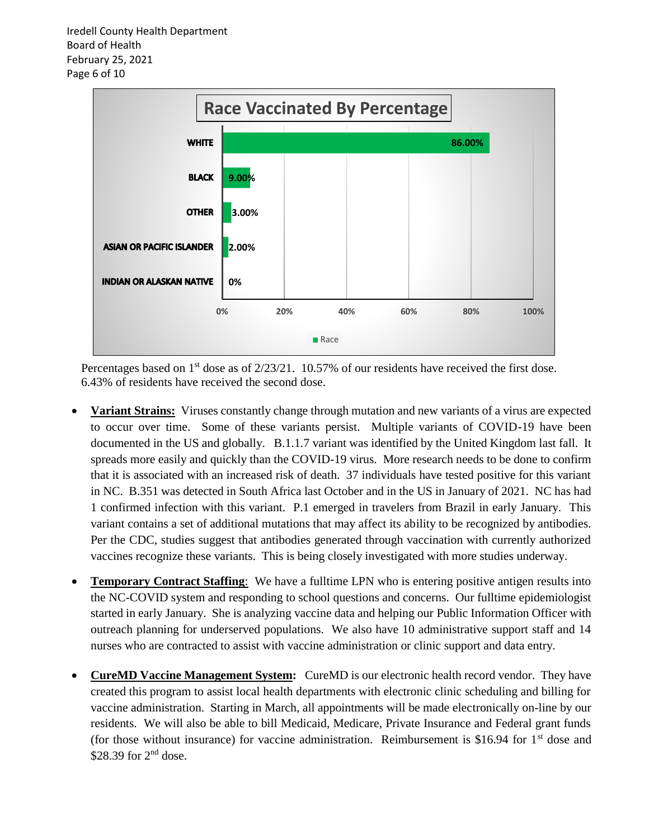Iredell County Health Department Board of Health February 25, 2021 Page 6 of 10



Percentages based on 1<sup>st</sup> dose as of 2/23/21. 10.57% of our residents have received the first dose. 6.43% of residents have received the second dose.

- **Variant Strains:** Viruses constantly change through mutation and new variants of a virus are expected to occur over time. Some of these variants persist. Multiple variants of COVID-19 have been documented in the US and globally. B.1.1.7 variant was identified by the United Kingdom last fall. It spreads more easily and quickly than the COVID-19 virus. More research needs to be done to confirm that it is associated with an increased risk of death. 37 individuals have tested positive for this variant in NC. B.351 was detected in South Africa last October and in the US in January of 2021. NC has had 1 confirmed infection with this variant. P.1 emerged in travelers from Brazil in early January. This variant contains a set of additional mutations that may affect its ability to be recognized by antibodies. Per the CDC, studies suggest that antibodies generated through vaccination with currently authorized vaccines recognize these variants. This is being closely investigated with more studies underway.
- **Temporary Contract Staffing**: We have a fulltime LPN who is entering positive antigen results into the NC-COVID system and responding to school questions and concerns. Our fulltime epidemiologist started in early January. She is analyzing vaccine data and helping our Public Information Officer with outreach planning for underserved populations. We also have 10 administrative support staff and 14 nurses who are contracted to assist with vaccine administration or clinic support and data entry.
- **CureMD Vaccine Management System:** CureMD is our electronic health record vendor. They have created this program to assist local health departments with electronic clinic scheduling and billing for vaccine administration. Starting in March, all appointments will be made electronically on-line by our residents. We will also be able to bill Medicaid, Medicare, Private Insurance and Federal grant funds (for those without insurance) for vaccine administration. Reimbursement is \$16.94 for  $1<sup>st</sup>$  dose and \$28.39 for  $2<sup>nd</sup>$  dose.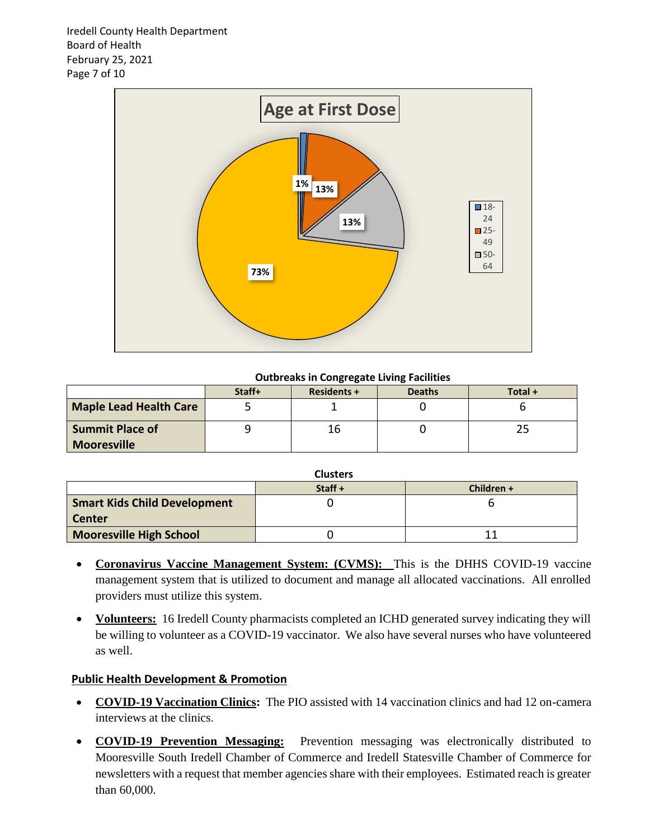Iredell County Health Department Board of Health February 25, 2021 Page 7 of 10



#### **Outbreaks in Congregate Living Facilities**

|                                              | . .<br>. . |                    |               |         |
|----------------------------------------------|------------|--------------------|---------------|---------|
|                                              | Staff+     | <b>Residents +</b> | <b>Deaths</b> | Total + |
| <b>Maple Lead Health Care</b>                |            |                    |               |         |
| <b>Summit Place of</b><br><b>Mooresville</b> |            | lb                 |               |         |
|                                              |            |                    |               |         |

| <b>Clusters</b>                     |           |            |  |
|-------------------------------------|-----------|------------|--|
|                                     | Staff $+$ | Children + |  |
| <b>Smart Kids Child Development</b> |           |            |  |
| <b>Center</b>                       |           |            |  |
| <b>Mooresville High School</b>      |           |            |  |

- **Coronavirus Vaccine Management System: (CVMS):** This is the DHHS COVID-19 vaccine management system that is utilized to document and manage all allocated vaccinations. All enrolled providers must utilize this system.
- **Volunteers:** 16 Iredell County pharmacists completed an ICHD generated survey indicating they will be willing to volunteer as a COVID-19 vaccinator. We also have several nurses who have volunteered as well.

## **Public Health Development & Promotion**

- **COVID-19 Vaccination Clinics:** The PIO assisted with 14 vaccination clinics and had 12 on-camera interviews at the clinics.
- **COVID-19 Prevention Messaging:** Prevention messaging was electronically distributed to Mooresville South Iredell Chamber of Commerce and Iredell Statesville Chamber of Commerce for newsletters with a request that member agencies share with their employees. Estimated reach is greater than 60,000.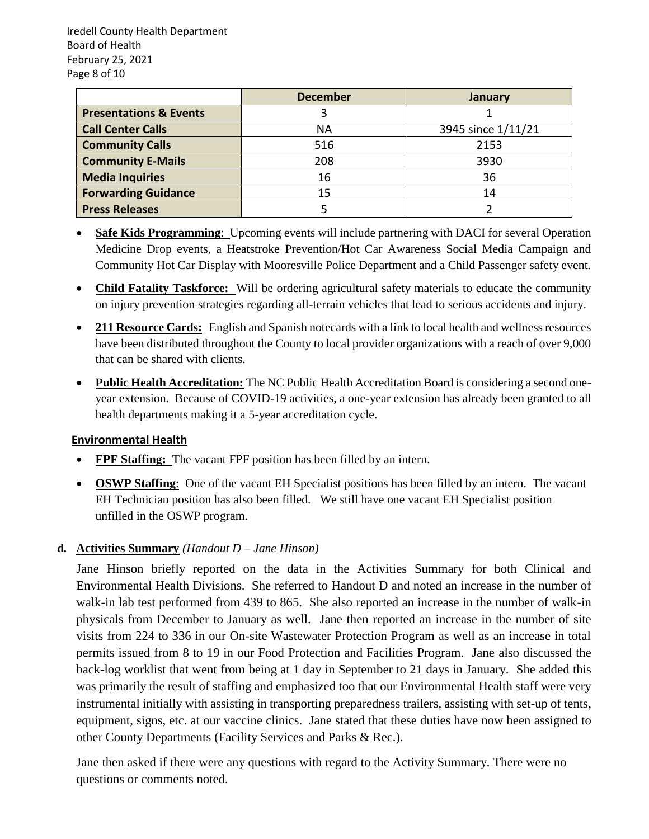Iredell County Health Department Board of Health February 25, 2021 Page 8 of 10

|                                   | <b>December</b> | January            |
|-----------------------------------|-----------------|--------------------|
| <b>Presentations &amp; Events</b> |                 |                    |
| <b>Call Center Calls</b>          | ΝA              | 3945 since 1/11/21 |
| <b>Community Calls</b>            | 516             | 2153               |
| <b>Community E-Mails</b>          | 208             | 3930               |
| <b>Media Inquiries</b>            | 16              | 36                 |
| <b>Forwarding Guidance</b>        | 15              | 14                 |
| <b>Press Releases</b>             |                 |                    |

- **Safe Kids Programming**: Upcoming events will include partnering with DACI for several Operation Medicine Drop events, a Heatstroke Prevention/Hot Car Awareness Social Media Campaign and Community Hot Car Display with Mooresville Police Department and a Child Passenger safety event.
- **Child Fatality Taskforce:** Will be ordering agricultural safety materials to educate the community on injury prevention strategies regarding all-terrain vehicles that lead to serious accidents and injury.
- **211 Resource Cards:** English and Spanish notecards with a link to local health and wellness resources have been distributed throughout the County to local provider organizations with a reach of over 9,000 that can be shared with clients.
- **Public Health Accreditation:** The NC Public Health Accreditation Board is considering a second oneyear extension. Because of COVID-19 activities, a one-year extension has already been granted to all health departments making it a 5-year accreditation cycle.

# **Environmental Health**

- **FPF Staffing:** The vacant FPF position has been filled by an intern.
- **OSWP Staffing**: One of the vacant EH Specialist positions has been filled by an intern. The vacant EH Technician position has also been filled. We still have one vacant EH Specialist position unfilled in the OSWP program.

# **d. Activities Summary** *(Handout D – Jane Hinson)*

Jane Hinson briefly reported on the data in the Activities Summary for both Clinical and Environmental Health Divisions. She referred to Handout D and noted an increase in the number of walk-in lab test performed from 439 to 865. She also reported an increase in the number of walk-in physicals from December to January as well. Jane then reported an increase in the number of site visits from 224 to 336 in our On-site Wastewater Protection Program as well as an increase in total permits issued from 8 to 19 in our Food Protection and Facilities Program. Jane also discussed the back-log worklist that went from being at 1 day in September to 21 days in January. She added this was primarily the result of staffing and emphasized too that our Environmental Health staff were very instrumental initially with assisting in transporting preparedness trailers, assisting with set-up of tents, equipment, signs, etc. at our vaccine clinics. Jane stated that these duties have now been assigned to other County Departments (Facility Services and Parks & Rec.).

Jane then asked if there were any questions with regard to the Activity Summary. There were no questions or comments noted.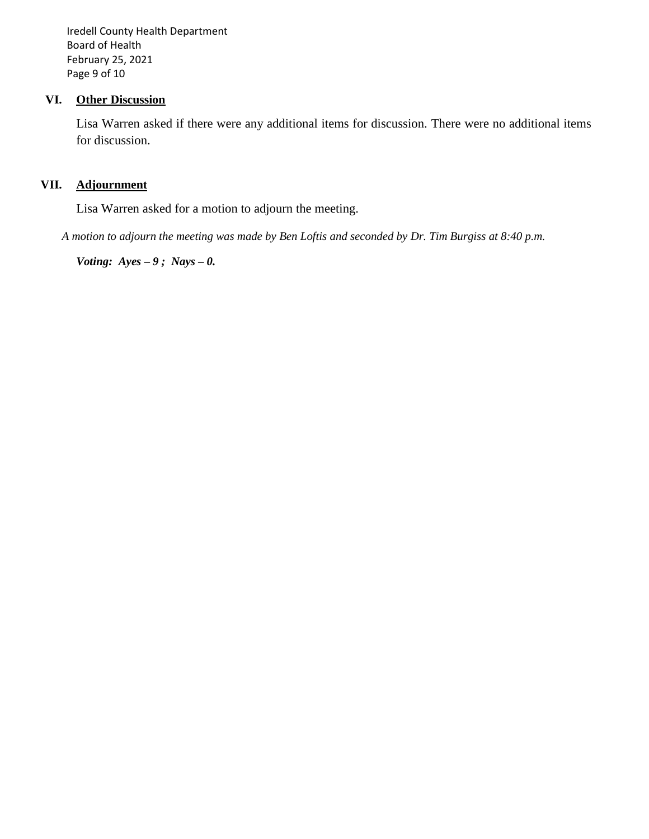Iredell County Health Department Board of Health February 25, 2021 Page 9 of 10

## **VI. Other Discussion**

Lisa Warren asked if there were any additional items for discussion. There were no additional items for discussion.

# **VII. Adjournment**

Lisa Warren asked for a motion to adjourn the meeting.

*A motion to adjourn the meeting was made by Ben Loftis and seconded by Dr. Tim Burgiss at 8:40 p.m.*

*Voting: Ayes – 9 ; Nays – 0.*